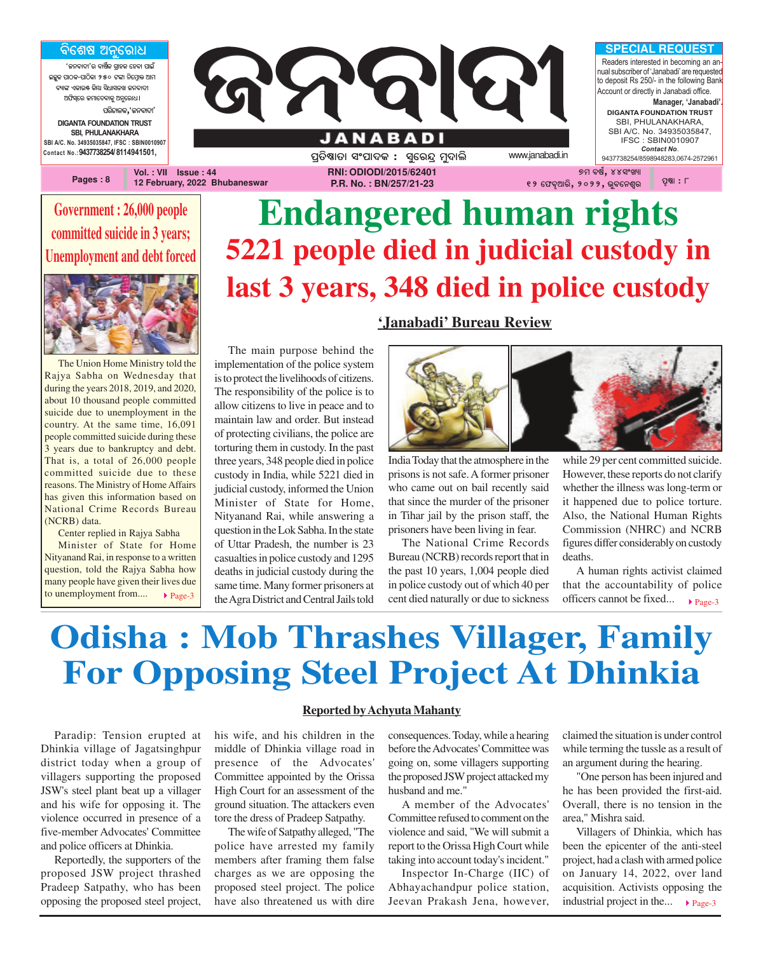<u>ବିଶେଷ ଅନୁରୋଧ</u>

**'ଜନବାଦୀ'ର ବାର୍ଷିକ ଗ୍ରାହକ ହେବା ପାଇଁ AzêK \_ûVK-\_ûVòKû 250 Uuû ^òùcÜûq @ûc** ,<br>ବ୍ୟାଙ୍ଗ ଏକାରଣ, କିମା ପିଧାପୁକ୍ତି<del>ଣ</del> କୁକୁକାରୀ **@`òi¨ùe Rcûù\aûKê @^êùeû]ö** ପରିଚାଳକ**,**'ଜନବାଦୀ' **DIGANTA FOUNDATION TRUST**

**SBI, PHULANAKHARA SBI A/C. No. 34935035847, IFSC : SBIN0010907 Contact No.:9437738254/ 8114941501,**

**Pages : 8**

**Vol. : VII Issue : 44 12 February, 2022 Bhubaneswar** ପ୍ରତିଷ୍ଠାତା ସଂପାଦକ : ସ୍ତରନ୍ଦ ମୁଦାଲି *www.janabadi.in* **RNI: ODIODI/2015/62401 P.R. No. : BN/257/21-23**

**ANABADI** 

J

### **Government : 26,000 people committed suicide in 3 years; Unemployment and debt forced**



The Union Home Ministry told the Rajya Sabha on Wednesday that during the years 2018, 2019, and 2020, about 10 thousand people committed suicide due to unemployment in the country. At the same time, 16,091 people committed suicide during these 3 years due to bankruptcy and debt. That is, a total of 26,000 people committed suicide due to these reasons. The Ministry of Home Affairs has given this information based on National Crime Records Bureau (NCRB) data.

Center replied in Rajya Sabha Minister of State for Home Nityanand Rai, in response to a written question, told the Rajya Sabha how many people have given their lives due

to unemployment from....  $\rightarrow$  Page-3

### The main purpose behind the implementation of the police system is to protect the livelihoods of citizens. The responsibility of the police is to allow citizens to live in peace and to maintain law and order. But instead of protecting civilians, the police are torturing them in custody. In the past three years, 348 people died in police custody in India, while 5221 died in judicial custody, informed the Union Minister of State for Home, Nityanand Rai, while answering a question in the Lok Sabha. In the state of Uttar Pradesh, the number is 23 casualties in police custody and 1295 deaths in judicial custody during the same time. Many former prisoners at the Agra District and Central Jails told

### **'Janabadi' Bureau Review**

**Endangered human rights**

**5221 people died in judicial custody in**

**last 3 years, 348 died in police custody**



୭ମ ବର୍ଷ**,** ୪୪ସଂଖ୍ୟା **12 ù`aé@ûeò, 2022, bêaù^gße \_éÂû : 8**

**SPECIAL REQUEST** Readers interested in becoming an annual subscriber of 'Janabadi' are requested to deposit Rs 250/- in the following Bank Account or directly in Janabadi office.

**DIGANTA FOUNDATION TRUST** SBI, PHULANAKHARA, SBI A/C. No. 34935035847, IFSC : SBIN0010907 *Contact No*. 9437738254/8598948283,0674-2572961

**Manager, 'Janabadi'.**

India Today that the atmosphere in the prisons is not safe. A former prisoner who came out on bail recently said that since the murder of the prisoner in Tihar jail by the prison staff, the prisoners have been living in fear.

The National Crime Records Bureau (NCRB) records report that in the past 10 years, 1,004 people died in police custody out of which 40 per cent died naturally or due to sickness while 29 per cent committed suicide. However, these reports do not clarify whether the illness was long-term or it happened due to police torture. Also, the National Human Rights Commission (NHRC) and NCRB figures differ considerably on custody deaths.

officers cannot be fixed...  $\rho_{\text{age-3}}$ A human rights activist claimed that the accountability of police

### **Odisha : Mob Thrashes Villager, Family For Opposing Steel Project At Dhinkia**

Paradip: Tension erupted at Dhinkia village of Jagatsinghpur district today when a group of villagers supporting the proposed JSW's steel plant beat up a villager and his wife for opposing it. The violence occurred in presence of a five-member Advocates' Committee and police officers at Dhinkia.

Reportedly, the supporters of the proposed JSW project thrashed Pradeep Satpathy, who has been opposing the proposed steel project,

#### **Reported by Achyuta Mahanty**

his wife, and his children in the middle of Dhinkia village road in presence of the Advocates' Committee appointed by the Orissa High Court for an assessment of the ground situation. The attackers even tore the dress of Pradeep Satpathy.

The wife of Satpathy alleged, "The police have arrested my family members after framing them false charges as we are opposing the proposed steel project. The police have also threatened us with dire consequences. Today, while a hearing before the Advocates' Committee was going on, some villagers supporting the proposed JSW project attacked my husband and me."

A member of the Advocates' Committee refused to comment on the violence and said, "We will submit a report to the Orissa High Court while taking into account today's incident."

Inspector In-Charge (IIC) of Abhayachandpur police station, Jeevan Prakash Jena, however, claimed the situation is under control while terming the tussle as a result of an argument during the hearing.

"One person has been injured and he has been provided the first-aid. Overall, there is no tension in the area," Mishra said.

industrial project in the...  $\rightharpoonup$  Page-3 Villagers of Dhinkia, which has been the epicenter of the anti-steel project, had a clash with armed police on January 14, 2022, over land acquisition. Activists opposing the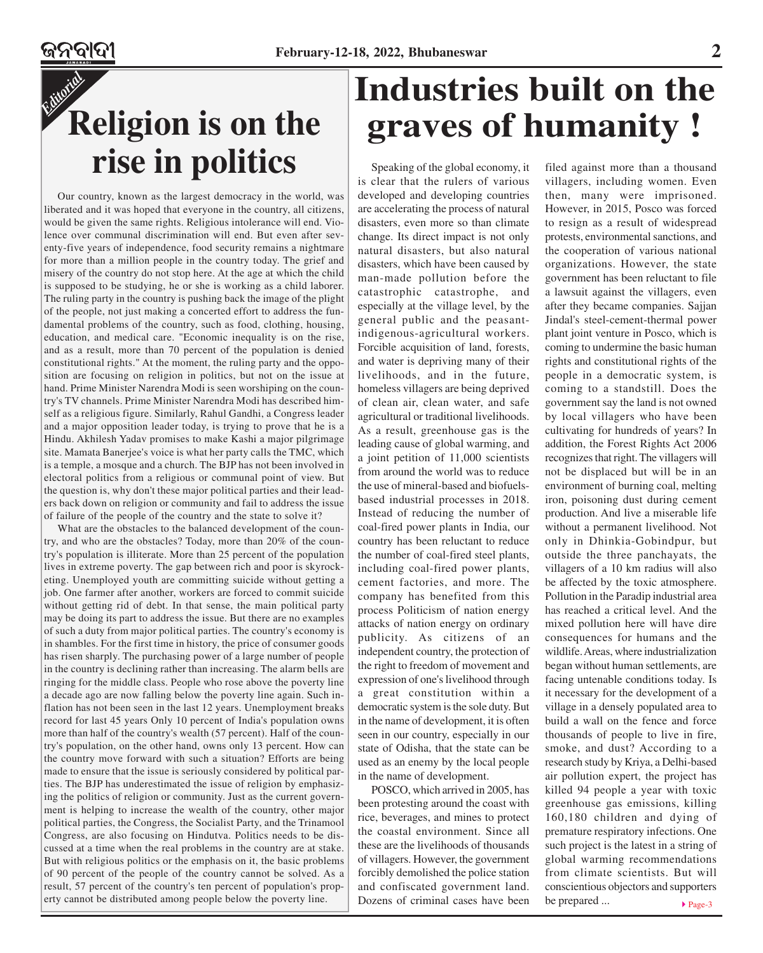### *Editorial* **Religion is on the rise in politics**

Our country, known as the largest democracy in the world, was liberated and it was hoped that everyone in the country, all citizens, would be given the same rights. Religious intolerance will end. Violence over communal discrimination will end. But even after seventy-five years of independence, food security remains a nightmare for more than a million people in the country today. The grief and misery of the country do not stop here. At the age at which the child is supposed to be studying, he or she is working as a child laborer. The ruling party in the country is pushing back the image of the plight of the people, not just making a concerted effort to address the fundamental problems of the country, such as food, clothing, housing, education, and medical care. "Economic inequality is on the rise, and as a result, more than 70 percent of the population is denied constitutional rights." At the moment, the ruling party and the opposition are focusing on religion in politics, but not on the issue at hand. Prime Minister Narendra Modi is seen worshiping on the country's TV channels. Prime Minister Narendra Modi has described himself as a religious figure. Similarly, Rahul Gandhi, a Congress leader and a major opposition leader today, is trying to prove that he is a Hindu. Akhilesh Yadav promises to make Kashi a major pilgrimage site. Mamata Banerjee's voice is what her party calls the TMC, which is a temple, a mosque and a church. The BJP has not been involved in electoral politics from a religious or communal point of view. But the question is, why don't these major political parties and their leaders back down on religion or community and fail to address the issue of failure of the people of the country and the state to solve it?

What are the obstacles to the balanced development of the country, and who are the obstacles? Today, more than 20% of the country's population is illiterate. More than 25 percent of the population lives in extreme poverty. The gap between rich and poor is skyrocketing. Unemployed youth are committing suicide without getting a job. One farmer after another, workers are forced to commit suicide without getting rid of debt. In that sense, the main political party may be doing its part to address the issue. But there are no examples of such a duty from major political parties. The country's economy is in shambles. For the first time in history, the price of consumer goods has risen sharply. The purchasing power of a large number of people in the country is declining rather than increasing. The alarm bells are ringing for the middle class. People who rose above the poverty line a decade ago are now falling below the poverty line again. Such inflation has not been seen in the last 12 years. Unemployment breaks record for last 45 years Only 10 percent of India's population owns more than half of the country's wealth (57 percent). Half of the country's population, on the other hand, owns only 13 percent. How can the country move forward with such a situation? Efforts are being made to ensure that the issue is seriously considered by political parties. The BJP has underestimated the issue of religion by emphasizing the politics of religion or community. Just as the current government is helping to increase the wealth of the country, other major political parties, the Congress, the Socialist Party, and the Trinamool Congress, are also focusing on Hindutva. Politics needs to be discussed at a time when the real problems in the country are at stake. But with religious politics or the emphasis on it, the basic problems of 90 percent of the people of the country cannot be solved. As a result, 57 percent of the country's ten percent of population's property cannot be distributed among people below the poverty line.

### **Industries built on the graves of humanity !**

Speaking of the global economy, it is clear that the rulers of various developed and developing countries are accelerating the process of natural disasters, even more so than climate change. Its direct impact is not only natural disasters, but also natural disasters, which have been caused by man-made pollution before the catastrophic catastrophe, and especially at the village level, by the general public and the peasantindigenous-agricultural workers. Forcible acquisition of land, forests, and water is depriving many of their livelihoods, and in the future, homeless villagers are being deprived of clean air, clean water, and safe agricultural or traditional livelihoods. As a result, greenhouse gas is the leading cause of global warming, and a joint petition of 11,000 scientists from around the world was to reduce the use of mineral-based and biofuelsbased industrial processes in 2018. Instead of reducing the number of coal-fired power plants in India, our country has been reluctant to reduce the number of coal-fired steel plants, including coal-fired power plants, cement factories, and more. The company has benefited from this process Politicism of nation energy attacks of nation energy on ordinary publicity. As citizens of an independent country, the protection of the right to freedom of movement and expression of one's livelihood through a great constitution within a democratic system is the sole duty. But in the name of development, it is often seen in our country, especially in our state of Odisha, that the state can be used as an enemy by the local people in the name of development.

POSCO, which arrived in 2005, has been protesting around the coast with rice, beverages, and mines to protect the coastal environment. Since all these are the livelihoods of thousands of villagers. However, the government forcibly demolished the police station and confiscated government land. Dozens of criminal cases have been

filed against more than a thousand villagers, including women. Even then, many were imprisoned. However, in 2015, Posco was forced to resign as a result of widespread protests, environmental sanctions, and the cooperation of various national organizations. However, the state government has been reluctant to file a lawsuit against the villagers, even after they became companies. Sajjan Jindal's steel-cement-thermal power plant joint venture in Posco, which is coming to undermine the basic human rights and constitutional rights of the people in a democratic system, is coming to a standstill. Does the government say the land is not owned by local villagers who have been cultivating for hundreds of years? In addition, the Forest Rights Act 2006 recognizes that right. The villagers will not be displaced but will be in an environment of burning coal, melting iron, poisoning dust during cement production. And live a miserable life without a permanent livelihood. Not only in Dhinkia-Gobindpur, but outside the three panchayats, the villagers of a 10 km radius will also be affected by the toxic atmosphere. Pollution in the Paradip industrial area has reached a critical level. And the mixed pollution here will have dire consequences for humans and the wildlife. Areas, where industrialization began without human settlements, are facing untenable conditions today. Is it necessary for the development of a village in a densely populated area to build a wall on the fence and force thousands of people to live in fire, smoke, and dust? According to a research study by Kriya, a Delhi-based air pollution expert, the project has killed 94 people a year with toxic greenhouse gas emissions, killing 160,180 children and dying of premature respiratory infections. One such project is the latest in a string of global warming recommendations from climate scientists. But will conscientious objectors and supporters be prepared ...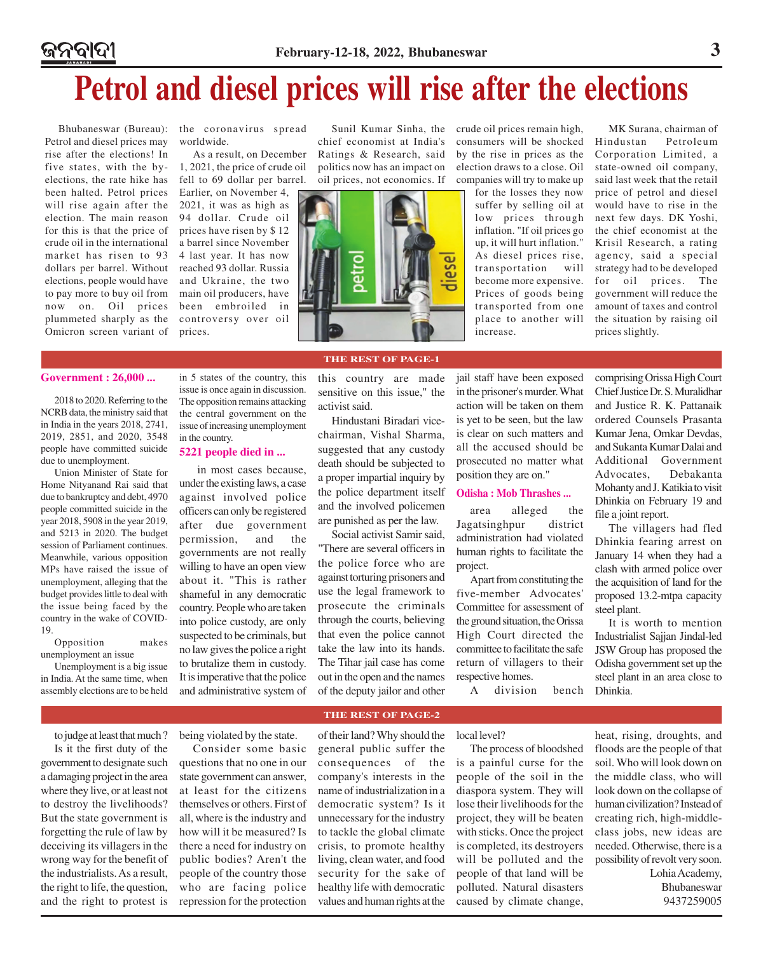### **Petrol and diesel prices will rise after the elections**

Petrol and diesel prices may rise after the elections! In five states, with the byelections, the rate hike has been halted. Petrol prices will rise again after the election. The main reason for this is that the price of crude oil in the international market has risen to 93 dollars per barrel. Without reached 93 dollar. Russia elections, people would have to pay more to buy oil from now on. Oil prices plummeted sharply as the controversy over oil Omicron screen variant of

ଜନବାଦୀ

Bhubaneswar (Bureau): the coronavirus spread worldwide.

> As a result, on December 1, 2021, the price of crude oil fell to 69 dollar per barrel.

Earlier, on November 4, 2021, it was as high as 94 dollar. Crude oil prices have risen by \$ 12 a barrel since November 4 last year. It has now and Ukraine, the two main oil producers, have been embroiled in prices.





Sunil Kumar Sinha, the crude oil prices remain high, consumers will be shocked by the rise in prices as the election draws to a close. Oil companies will try to make up

> for the losses they now suffer by selling oil at low prices through inflation. "If oil prices go up, it will hurt inflation." As diesel prices rise, transportation will become more expensive. Prices of goods being transported from one place to another will increase.

MK Surana, chairman of<br>ndustan Petroleum Hindustan Corporation Limited, a state-owned oil company, said last week that the retail price of petrol and diesel would have to rise in the next few days. DK Yoshi, the chief economist at the Krisil Research, a rating agency, said a special strategy had to be developed for oil prices. The government will reduce the amount of taxes and control the situation by raising oil prices slightly.

#### **Government : 26,000 ...**

2018 to 2020. Referring to the NCRB data, the ministry said that in India in the years 2018, 2741, 2019, 2851, and 2020, 3548 people have committed suicide due to unemployment.

Union Minister of State for Home Nityanand Rai said that due to bankruptcy and debt, 4970 people committed suicide in the year 2018, 5908 in the year 2019, and 5213 in 2020. The budget session of Parliament continues. Meanwhile, various opposition MPs have raised the issue of unemployment, alleging that the budget provides little to deal with the issue being faced by the country in the wake of COVID-19.

Opposition makes unemployment an issue

Unemployment is a big issue in India. At the same time, when assembly elections are to be held in 5 states of the country, this issue is once again in discussion. The opposition remains attacking the central government on the issue of increasing unemployment in the country.

#### **5221 people died in ...**

 in most cases because, under the existing laws, a case against involved police officers can only be registered after due government permission, and the governments are not really willing to have an open view about it. "This is rather shameful in any democratic country. People who are taken into police custody, are only suspected to be criminals, but no law gives the police a right to brutalize them in custody. It is imperative that the police and administrative system of this country are made sensitive on this issue," the activist said.

**THE REST OF PAGE-1**

Hindustani Biradari vicechairman, Vishal Sharma, suggested that any custody death should be subjected to a proper impartial inquiry by the police department itself and the involved policemen are punished as per the law.

Social activist Samir said, "There are several officers in the police force who are against torturing prisoners and use the legal framework to prosecute the criminals through the courts, believing that even the police cannot take the law into its hands. The Tihar jail case has come out in the open and the names of the deputy jailor and other

**THE REST OF PAGE-2**

jail staff have been exposed in the prisoner's murder. What action will be taken on them is yet to be seen, but the law is clear on such matters and all the accused should be prosecuted no matter what position they are on."

#### **Odisha : Mob Thrashes ...**

area alleged the Jagatsinghpur district administration had violated human rights to facilitate the project.

Apart from constituting the five-member Advocates' Committee for assessment of the ground situation, the Orissa High Court directed the committee to facilitate the safe return of villagers to their respective homes.

A division bench

comprising Orissa High Court Chief Justice Dr. S. Muralidhar and Justice R. K. Pattanaik ordered Counsels Prasanta Kumar Jena, Omkar Devdas, and Sukanta Kumar Dalai and Additional Government Advocates, Debakanta Mohanty and J. Katikia to visit Dhinkia on February 19 and file a joint report.

The villagers had fled Dhinkia fearing arrest on January 14 when they had a clash with armed police over the acquisition of land for the proposed 13.2-mtpa capacity steel plant.

It is worth to mention Industrialist Sajjan Jindal-led JSW Group has proposed the Odisha government set up the steel plant in an area close to Dhinkia.

to judge at least that much ?

Is it the first duty of the government to designate such a damaging project in the area where they live, or at least not to destroy the livelihoods? But the state government is forgetting the rule of law by deceiving its villagers in the wrong way for the benefit of the industrialists. As a result, the right to life, the question, and the right to protest is

being violated by the state.

Consider some basic questions that no one in our state government can answer, at least for the citizens themselves or others. First of all, where is the industry and how will it be measured? Is there a need for industry on public bodies? Aren't the people of the country those who are facing police repression for the protection of their land? Why should the general public suffer the consequences of the company's interests in the name of industrialization in a democratic system? Is it unnecessary for the industry to tackle the global climate crisis, to promote healthy living, clean water, and food security for the sake of healthy life with democratic values and human rights at the

#### local level?

The process of bloodshed is a painful curse for the people of the soil in the diaspora system. They will lose their livelihoods for the project, they will be beaten with sticks. Once the project is completed, its destroyers will be polluted and the people of that land will be polluted. Natural disasters caused by climate change,

heat, rising, droughts, and floods are the people of that soil. Who will look down on the middle class, who will look down on the collapse of human civilization? Instead of creating rich, high-middleclass jobs, new ideas are needed. Otherwise, there is a possibility of revolt very soon.

Lohia Academy, Bhubaneswar 9437259005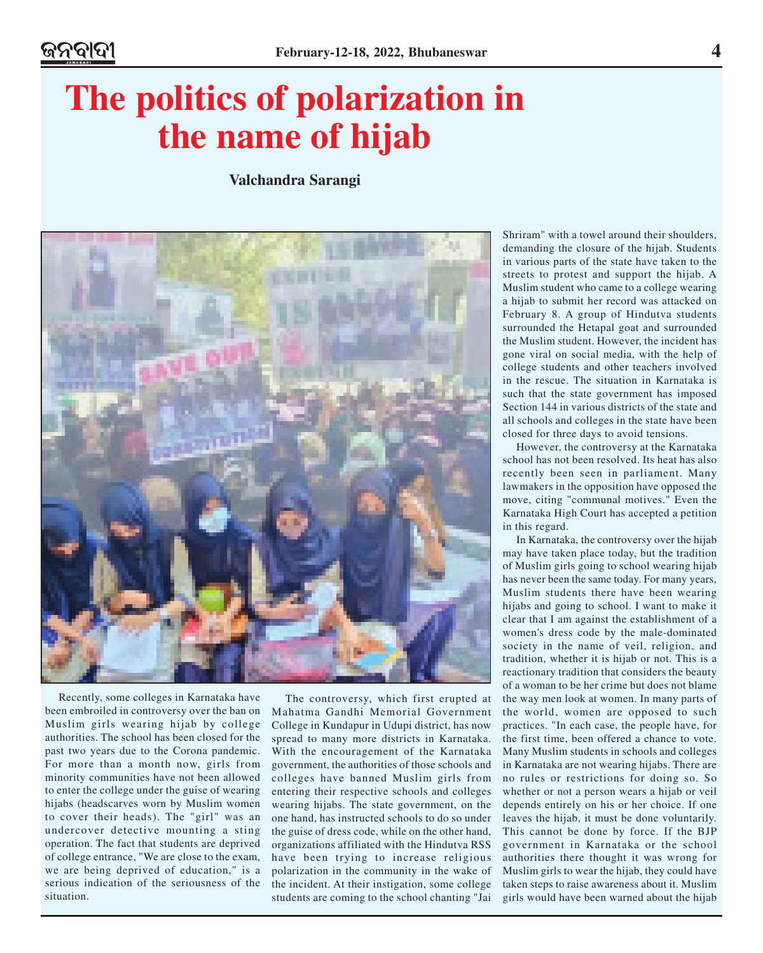### **The politics of polarization in the name of hijab**

**Valchandra Sarangi**



Recently, some colleges in Karnataka have been embroiled in controversy over the ban on Muslim girls wearing hijab by college authorities. The school has been closed for the past two years due to the Corona pandemic. For more than a month now, girls from minority communities have not been allowed to enter the college under the guise of wearing hijabs (headscarves worn by Muslim women to cover their heads). The "girl" was an undercover detective mounting a sting operation. The fact that students are deprived of college entrance, "We are close to the exam, we are being deprived of education," is a serious indication of the seriousness of the situation.

The controversy, which first erupted at Mahatma Gandhi Memorial Government College in Kundapur in Udupi district, has now spread to many more districts in Karnataka. With the encouragement of the Karnataka government, the authorities of those schools and colleges have banned Muslim girls from entering their respective schools and colleges wearing hijabs. The state government, on the one hand, has instructed schools to do so under the guise of dress code, while on the other hand, organizations affiliated with the Hindutva RSS have been trying to increase religious polarization in the community in the wake of the incident. At their instigation, some college students are coming to the school chanting "Jai

Shriram" with a towel around their shoulders, demanding the closure of the hijab. Students in various parts of the state have taken to the streets to protest and support the hijab. A Muslim student who came to a college wearing a hijab to submit her record was attacked on February 8. A group of Hindutva students surrounded the Hetapal goat and surrounded the Muslim student. However, the incident has gone viral on social media, with the help of college students and other teachers involved in the rescue. The situation in Karnataka is such that the state government has imposed Section 144 in various districts of the state and all schools and colleges in the state have been closed for three days to avoid tensions.

However, the controversy at the Karnataka school has not been resolved. Its heat has also recently been seen in parliament. Many lawmakers in the opposition have opposed the move, citing "communal motives." Even the Karnataka High Court has accepted a petition in this regard.

In Karnataka, the controversy over the hijab may have taken place today, but the tradition of Muslim girls going to school wearing hijab has never been the same today. For many years, Muslim students there have been wearing hijabs and going to school. I want to make it clear that I am against the establishment of a women's dress code by the male-dominated society in the name of veil, religion, and tradition, whether it is hijab or not. This is a reactionary tradition that considers the beauty of a woman to be her crime but does not blame the way men look at women. In many parts of the world, women are opposed to such practices. "In each case, the people have, for the first time, been offered a chance to vote. Many Muslim students in schools and colleges in Karnataka are not wearing hijabs. There are no rules or restrictions for doing so. So whether or not a person wears a hijab or veil depends entirely on his or her choice. If one leaves the hijab, it must be done voluntarily. This cannot be done by force. If the BJP government in Karnataka or the school authorities there thought it was wrong for Muslim girls to wear the hijab, they could have taken steps to raise awareness about it. Muslim girls would have been warned about the hijab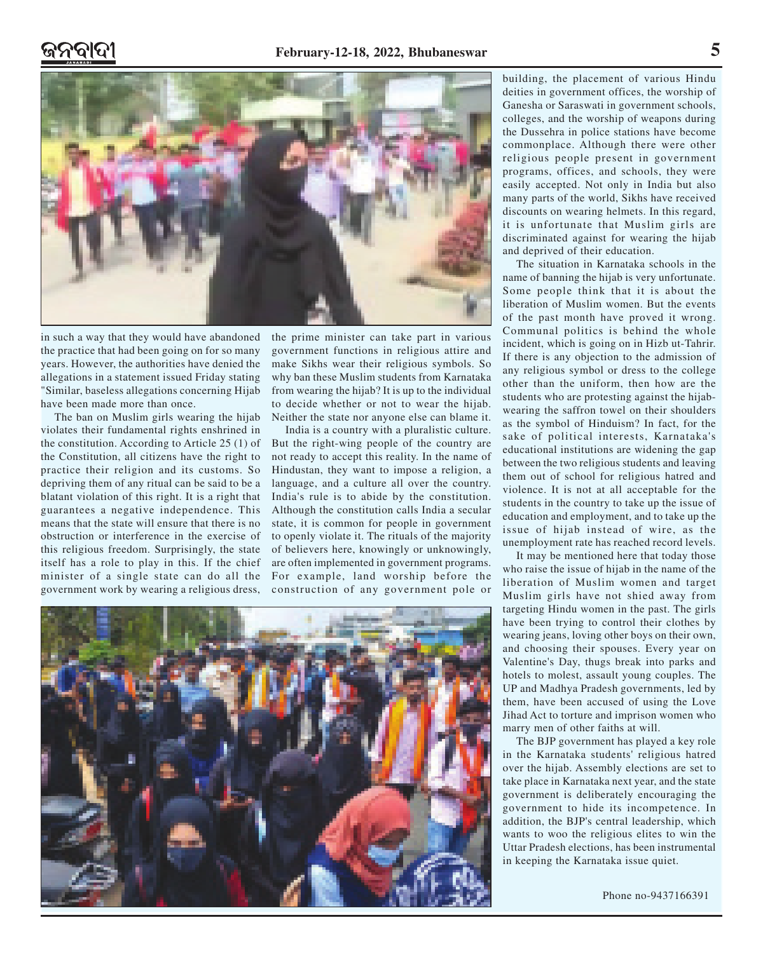

in such a way that they would have abandoned the practice that had been going on for so many years. However, the authorities have denied the allegations in a statement issued Friday stating "Similar, baseless allegations concerning Hijab have been made more than once.

The ban on Muslim girls wearing the hijab violates their fundamental rights enshrined in the constitution. According to Article 25 (1) of the Constitution, all citizens have the right to practice their religion and its customs. So depriving them of any ritual can be said to be a blatant violation of this right. It is a right that guarantees a negative independence. This means that the state will ensure that there is no obstruction or interference in the exercise of this religious freedom. Surprisingly, the state itself has a role to play in this. If the chief minister of a single state can do all the government work by wearing a religious dress, the prime minister can take part in various government functions in religious attire and make Sikhs wear their religious symbols. So why ban these Muslim students from Karnataka from wearing the hijab? It is up to the individual to decide whether or not to wear the hijab. Neither the state nor anyone else can blame it.

India is a country with a pluralistic culture. But the right-wing people of the country are not ready to accept this reality. In the name of Hindustan, they want to impose a religion, a language, and a culture all over the country. India's rule is to abide by the constitution. Although the constitution calls India a secular state, it is common for people in government to openly violate it. The rituals of the majority of believers here, knowingly or unknowingly, are often implemented in government programs. For example, land worship before the construction of any government pole or



building, the placement of various Hindu deities in government offices, the worship of Ganesha or Saraswati in government schools, colleges, and the worship of weapons during the Dussehra in police stations have become commonplace. Although there were other religious people present in government programs, offices, and schools, they were easily accepted. Not only in India but also many parts of the world, Sikhs have received discounts on wearing helmets. In this regard, it is unfortunate that Muslim girls are discriminated against for wearing the hijab and deprived of their education.

The situation in Karnataka schools in the name of banning the hijab is very unfortunate. Some people think that it is about the liberation of Muslim women. But the events of the past month have proved it wrong. Communal politics is behind the whole incident, which is going on in Hizb ut-Tahrir. If there is any objection to the admission of any religious symbol or dress to the college other than the uniform, then how are the students who are protesting against the hijabwearing the saffron towel on their shoulders as the symbol of Hinduism? In fact, for the sake of political interests, Karnataka's educational institutions are widening the gap between the two religious students and leaving them out of school for religious hatred and violence. It is not at all acceptable for the students in the country to take up the issue of education and employment, and to take up the issue of hijab instead of wire, as the unemployment rate has reached record levels.

It may be mentioned here that today those who raise the issue of hijab in the name of the liberation of Muslim women and target Muslim girls have not shied away from targeting Hindu women in the past. The girls have been trying to control their clothes by wearing jeans, loving other boys on their own, and choosing their spouses. Every year on Valentine's Day, thugs break into parks and hotels to molest, assault young couples. The UP and Madhya Pradesh governments, led by them, have been accused of using the Love Jihad Act to torture and imprison women who marry men of other faiths at will.

The BJP government has played a key role in the Karnataka students' religious hatred over the hijab. Assembly elections are set to take place in Karnataka next year, and the state government is deliberately encouraging the government to hide its incompetence. In addition, the BJP's central leadership, which wants to woo the religious elites to win the Uttar Pradesh elections, has been instrumental in keeping the Karnataka issue quiet.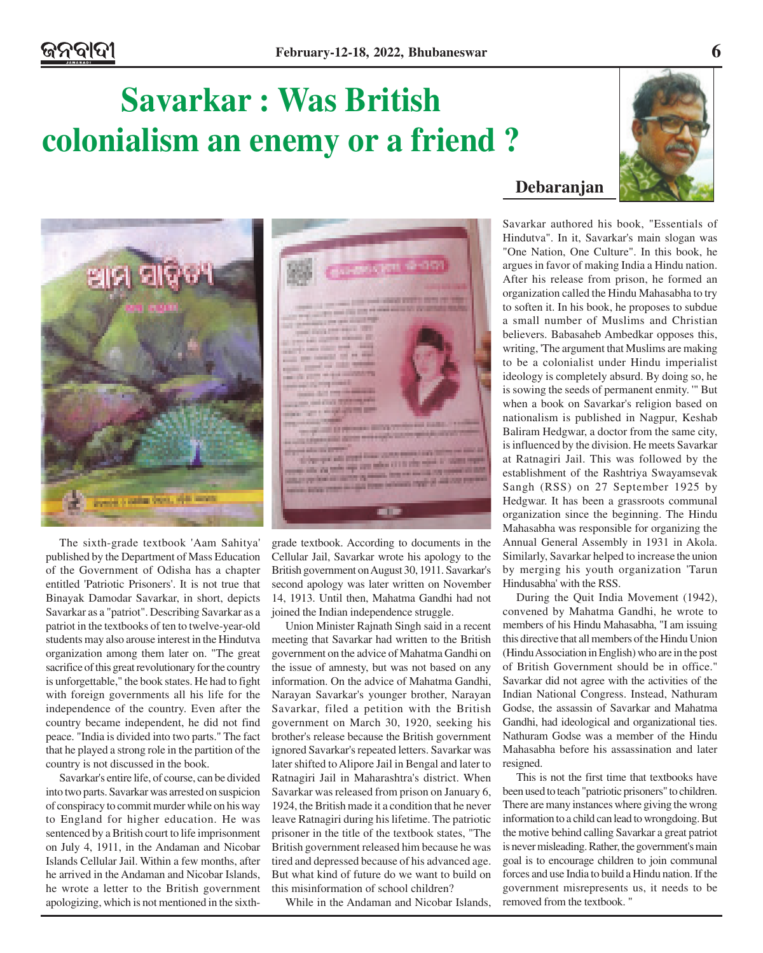**COLORADO DE CAMBRO DE CAMBRO** 

**COLLEGE AND INCOME.** 

## **Savarkar : Was British colonialism an enemy or a friend ?**



The sixth-grade textbook 'Aam Sahitya' published by the Department of Mass Education of the Government of Odisha has a chapter entitled 'Patriotic Prisoners'. It is not true that Binayak Damodar Savarkar, in short, depicts Savarkar as a "patriot". Describing Savarkar as a patriot in the textbooks of ten to twelve-year-old students may also arouse interest in the Hindutva organization among them later on. "The great sacrifice of this great revolutionary for the country is unforgettable," the book states. He had to fight with foreign governments all his life for the independence of the country. Even after the country became independent, he did not find peace. "India is divided into two parts." The fact that he played a strong role in the partition of the country is not discussed in the book.

Savarkar's entire life, of course, can be divided into two parts. Savarkar was arrested on suspicion of conspiracy to commit murder while on his way to England for higher education. He was sentenced by a British court to life imprisonment on July 4, 1911, in the Andaman and Nicobar Islands Cellular Jail. Within a few months, after he arrived in the Andaman and Nicobar Islands, he wrote a letter to the British government apologizing, which is not mentioned in the sixth-



Union Minister Rajnath Singh said in a recent meeting that Savarkar had written to the British government on the advice of Mahatma Gandhi on the issue of amnesty, but was not based on any information. On the advice of Mahatma Gandhi, Narayan Savarkar's younger brother, Narayan Savarkar, filed a petition with the British government on March 30, 1920, seeking his brother's release because the British government ignored Savarkar's repeated letters. Savarkar was later shifted to Alipore Jail in Bengal and later to Ratnagiri Jail in Maharashtra's district. When Savarkar was released from prison on January 6, 1924, the British made it a condition that he never leave Ratnagiri during his lifetime. The patriotic prisoner in the title of the textbook states, "The British government released him because he was tired and depressed because of his advanced age. But what kind of future do we want to build on this misinformation of school children?

While in the Andaman and Nicobar Islands,

### **Debaranjan**

Savarkar authored his book, "Essentials of Hindutva". In it, Savarkar's main slogan was "One Nation, One Culture". In this book, he argues in favor of making India a Hindu nation. After his release from prison, he formed an organization called the Hindu Mahasabha to try to soften it. In his book, he proposes to subdue a small number of Muslims and Christian believers. Babasaheb Ambedkar opposes this, writing, 'The argument that Muslims are making to be a colonialist under Hindu imperialist ideology is completely absurd. By doing so, he is sowing the seeds of permanent enmity. '" But when a book on Savarkar's religion based on nationalism is published in Nagpur, Keshab Baliram Hedgwar, a doctor from the same city, is influenced by the division. He meets Savarkar at Ratnagiri Jail. This was followed by the establishment of the Rashtriya Swayamsevak Sangh (RSS) on 27 September 1925 by Hedgwar. It has been a grassroots communal organization since the beginning. The Hindu Mahasabha was responsible for organizing the Annual General Assembly in 1931 in Akola. Similarly, Savarkar helped to increase the union by merging his youth organization 'Tarun Hindusabha' with the RSS.

During the Quit India Movement (1942), convened by Mahatma Gandhi, he wrote to members of his Hindu Mahasabha, "I am issuing this directive that all members of the Hindu Union (Hindu Association in English) who are in the post of British Government should be in office." Savarkar did not agree with the activities of the Indian National Congress. Instead, Nathuram Godse, the assassin of Savarkar and Mahatma Gandhi, had ideological and organizational ties. Nathuram Godse was a member of the Hindu Mahasabha before his assassination and later resigned.

This is not the first time that textbooks have been used to teach "patriotic prisoners" to children. There are many instances where giving the wrong information to a child can lead to wrongdoing. But the motive behind calling Savarkar a great patriot is never misleading. Rather, the government's main goal is to encourage children to join communal forces and use India to build a Hindu nation. If the government misrepresents us, it needs to be removed from the textbook. "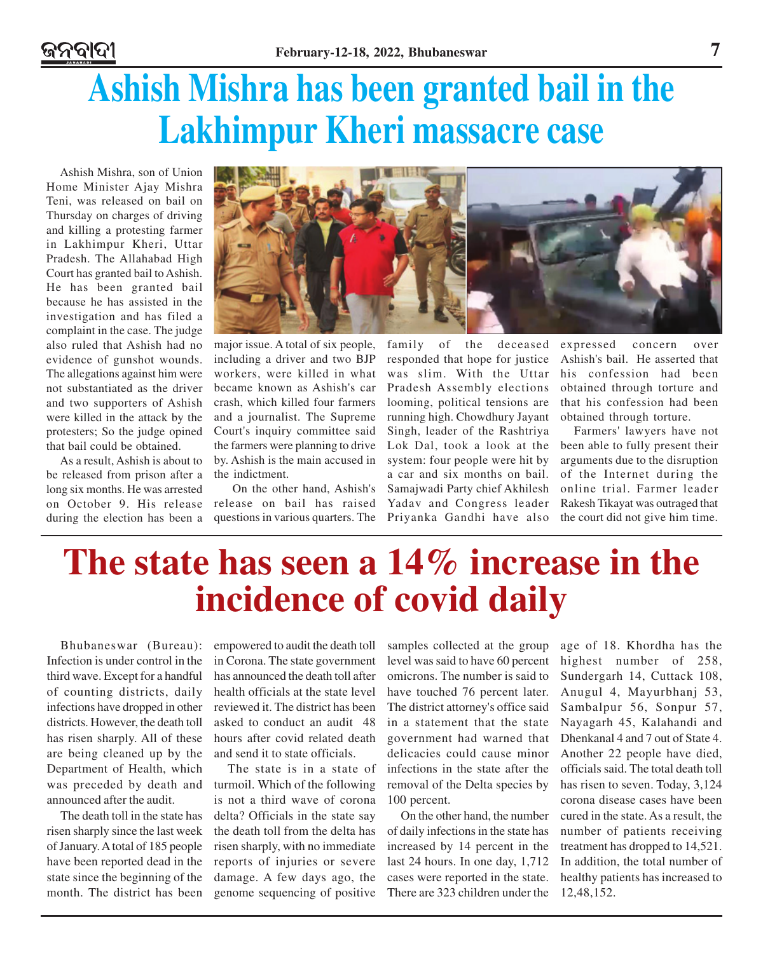# **Ashish Mishra has been granted bail in the Lakhimpur Kheri massacre case**

Ashish Mishra, son of Union Home Minister Ajay Mishra Teni, was released on bail on Thursday on charges of driving and killing a protesting farmer in Lakhimpur Kheri, Uttar Pradesh. The Allahabad High Court has granted bail to Ashish. He has been granted bail because he has assisted in the investigation and has filed a complaint in the case. The judge also ruled that Ashish had no evidence of gunshot wounds. The allegations against him were not substantiated as the driver and two supporters of Ashish were killed in the attack by the protesters; So the judge opined that bail could be obtained.

As a result, Ashish is about to be released from prison after a long six months. He was arrested on October 9. His release during the election has been a



major issue. A total of six people, including a driver and two BJP workers, were killed in what became known as Ashish's car crash, which killed four farmers and a journalist. The Supreme Court's inquiry committee said the farmers were planning to drive by. Ashish is the main accused in the indictment.

 On the other hand, Ashish's release on bail has raised questions in various quarters. The

family of the deceased responded that hope for justice was slim. With the Uttar Pradesh Assembly elections looming, political tensions are running high. Chowdhury Jayant Singh, leader of the Rashtriya Lok Dal, took a look at the system: four people were hit by a car and six months on bail. Samajwadi Party chief Akhilesh Yadav and Congress leader Priyanka Gandhi have also

expressed concern over Ashish's bail. He asserted that his confession had been obtained through torture and that his confession had been obtained through torture.

Farmers' lawyers have not been able to fully present their arguments due to the disruption of the Internet during the online trial. Farmer leader Rakesh Tikayat was outraged that the court did not give him time.

### **The state has seen a 14% increase in the incidence of covid daily**

Bhubaneswar (Bureau): Infection is under control in the third wave. Except for a handful of counting districts, daily infections have dropped in other districts. However, the death toll has risen sharply. All of these are being cleaned up by the Department of Health, which was preceded by death and announced after the audit.

The death toll in the state has risen sharply since the last week of January. A total of 185 people have been reported dead in the state since the beginning of the month. The district has been empowered to audit the death toll in Corona. The state government has announced the death toll after health officials at the state level reviewed it. The district has been asked to conduct an audit 48 hours after covid related death and send it to state officials.

The state is in a state of turmoil. Which of the following is not a third wave of corona delta? Officials in the state say the death toll from the delta has risen sharply, with no immediate reports of injuries or severe damage. A few days ago, the genome sequencing of positive

samples collected at the group level was said to have 60 percent omicrons. The number is said to have touched 76 percent later. The district attorney's office said in a statement that the state government had warned that delicacies could cause minor infections in the state after the removal of the Delta species by 100 percent.

On the other hand, the number of daily infections in the state has increased by 14 percent in the last 24 hours. In one day, 1,712 cases were reported in the state. There are 323 children under the age of 18. Khordha has the highest number of 258, Sundergarh 14, Cuttack 108, Anugul 4, Mayurbhanj 53, Sambalpur 56, Sonpur 57, Nayagarh 45, Kalahandi and Dhenkanal 4 and 7 out of State 4. Another 22 people have died, officials said. The total death toll has risen to seven. Today, 3,124 corona disease cases have been cured in the state. As a result, the number of patients receiving treatment has dropped to 14,521. In addition, the total number of healthy patients has increased to 12,48,152.